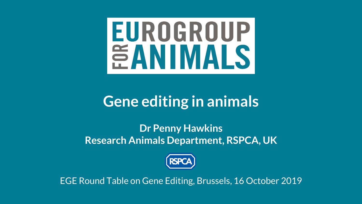# **EUROGROUP EANIMALS**

#### **Gene editing in animals**

#### **Dr Penny Hawkins Research Animals Department, RSPCA, UK**



EGE Round Table on Gene Editing, Brussels, 16 October 2019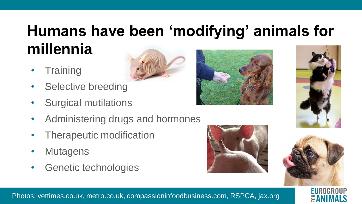# **Humans have been 'modifying' animals for millennia**

- **Training**
- Selective breeding
- Surgical mutilations
- Administering drugs and hormones
- Therapeutic modification
- Mutagens
- Genetic technologies







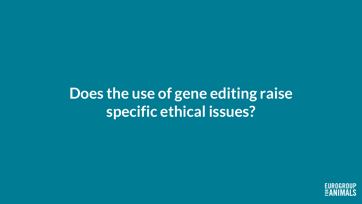#### **Does the use of gene editing raise specific ethical issues?**

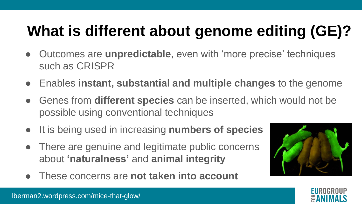# **What is different about genome editing (GE)?**

- Outcomes are **unpredictable**, even with 'more precise' techniques such as CRISPR
- Enables **instant, substantial and multiple changes** to the genome
- Genes from **different species** can be inserted, which would not be possible using conventional techniques
- It is being used in increasing **numbers of species**
- There are genuine and legitimate public concerns about **'naturalness'** and **animal integrity**
- These concerns are **not taken into account**



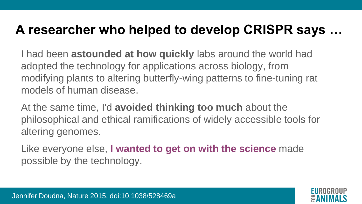#### **A researcher who helped to develop CRISPR says …**

I had been **astounded at how quickly** labs around the world had adopted the technology for applications across biology, from modifying plants to altering butterfly-wing patterns to fine-tuning rat models of human disease.

At the same time, I'd **avoided thinking too much** about the philosophical and ethical ramifications of widely accessible tools for altering genomes.

Like everyone else, **I wanted to get on with the science** made possible by the technology.

Jennifer Doudna, Nature 2015, doi:10.1038/528469a

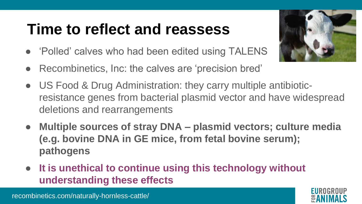### **Time to reflect and reassess**

- Polled' calves who had been edited using TALENS
- Recombinetics, Inc: the calves are 'precision bred'
- US Food & Drug Administration: they carry multiple antibioticresistance genes from bacterial plasmid vector and have widespread deletions and rearrangements
- **Multiple sources of stray DNA – plasmid vectors; culture media (e.g. bovine DNA in GE mice, from fetal bovine serum); pathogens**
- **It is unethical to continue using this technology without understanding these effects**



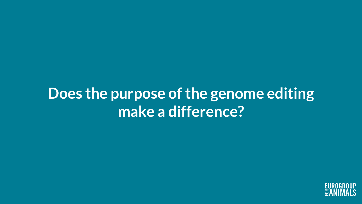#### **Does the purpose of the genome editing make a difference?**

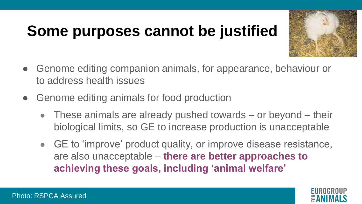# **Some purposes cannot be justified**



- Genome editing companion animals, for appearance, behaviour or to address health issues
- Genome editing animals for food production
	- $\bullet$  These animals are already pushed towards or beyond their biological limits, so GE to increase production is unacceptable
	- GE to 'improve' product quality, or improve disease resistance, are also unacceptable – **there are better approaches to achieving these goals, including 'animal welfare'**

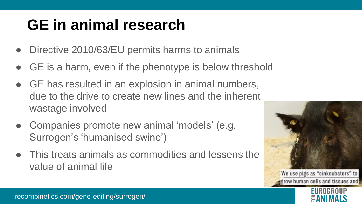# **GE in animal research**

- Directive 2010/63/EU permits harms to animals
- GE is a harm, even if the phenotype is below threshold
- GE has resulted in an explosion in animal numbers, due to the drive to create new lines and the inherent wastage involved
- Companies promote new animal 'models' (e.g. Surrogen's 'humanised swine')
- This treats animals as commodities and lessens the value of animal life





recombinetics.com/gene-editing/surrogen/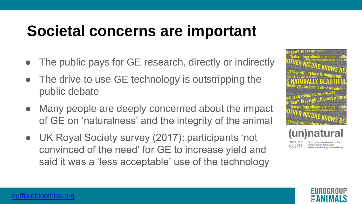#### **Societal concerns are important**

- The public pays for GE research, directly or indirectly
- The drive to use GE technology is outstripping the public debate
- Many people are deeply concerned about the impact of GE on 'naturalness' and the integrity of the animal
- UK Royal Society survey (2017): participants 'not convinced of the need' for GE to increase yield and said it was a 'less acceptable' use of the technology



**Inatural** 

and political debates about science, technology and medicine

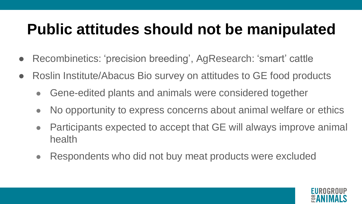## **Public attitudes should not be manipulated**

- Recombinetics: 'precision breeding', AgResearch: 'smart' cattle
- Roslin Institute/Abacus Bio survey on attitudes to GE food products
	- Gene-edited plants and animals were considered together
	- No opportunity to express concerns about animal welfare or ethics
	- Participants expected to accept that GE will always improve animal health
	- Respondents who did not buy meat products were excluded

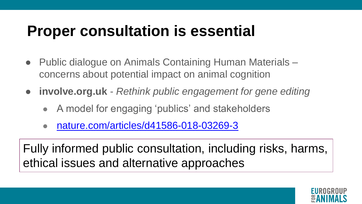### **Proper consultation is essential**

- Public dialogue on Animals Containing Human Materials concerns about potential impact on animal cognition
- **involve.org.uk** *Rethink public engagement for gene editing*
	- A model for engaging 'publics' and stakeholders
	- [nature.com/articles/d41586-018-03269-3](https://www.nature.com/articles/d41586-018-03269-3)

Fully informed public consultation, including risks, harms, ethical issues and alternative approaches